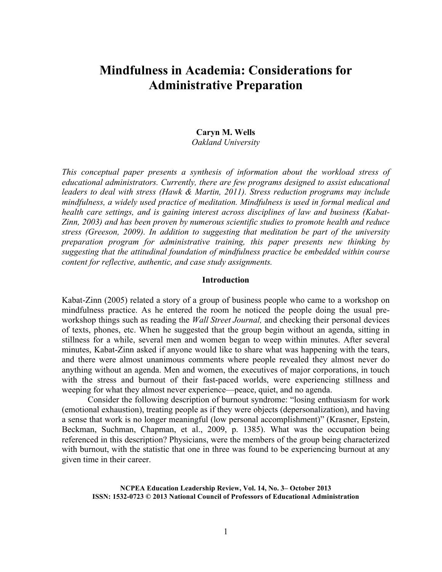# **Mindfulness in Academia: Considerations for Administrative Preparation**

# **Caryn M. Wells**

*Oakland University*

*This conceptual paper presents a synthesis of information about the workload stress of educational administrators. Currently, there are few programs designed to assist educational leaders to deal with stress (Hawk & Martin, 2011). Stress reduction programs may include mindfulness, a widely used practice of meditation. Mindfulness is used in formal medical and health care settings, and is gaining interest across disciplines of law and business (Kabat-Zinn, 2003) and has been proven by numerous scientific studies to promote health and reduce stress (Greeson, 2009). In addition to suggesting that meditation be part of the university preparation program for administrative training, this paper presents new thinking by suggesting that the attitudinal foundation of mindfulness practice be embedded within course content for reflective, authentic, and case study assignments.*

# **Introduction**

Kabat-Zinn (2005) related a story of a group of business people who came to a workshop on mindfulness practice. As he entered the room he noticed the people doing the usual preworkshop things such as reading the *Wall Street Journal,* and checking their personal devices of texts, phones, etc. When he suggested that the group begin without an agenda, sitting in stillness for a while, several men and women began to weep within minutes. After several minutes, Kabat-Zinn asked if anyone would like to share what was happening with the tears, and there were almost unanimous comments where people revealed they almost never do anything without an agenda. Men and women, the executives of major corporations, in touch with the stress and burnout of their fast-paced worlds, were experiencing stillness and weeping for what they almost never experience—peace, quiet, and no agenda.

Consider the following description of burnout syndrome: "losing enthusiasm for work (emotional exhaustion), treating people as if they were objects (depersonalization), and having a sense that work is no longer meaningful (low personal accomplishment)" (Krasner, Epstein, Beckman, Suchman, Chapman, et al., 2009, p. 1385). What was the occupation being referenced in this description? Physicians, were the members of the group being characterized with burnout, with the statistic that one in three was found to be experiencing burnout at any given time in their career.

**NCPEA Education Leadership Review, Vol. 14, No. 3– October 2013 ISSN: 1532-0723 © 2013 National Council of Professors of Educational Administration**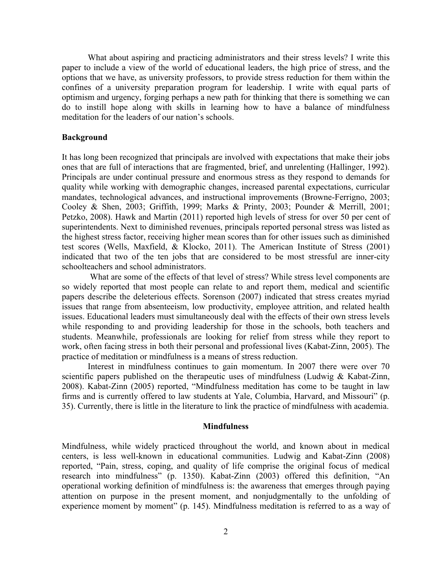What about aspiring and practicing administrators and their stress levels? I write this paper to include a view of the world of educational leaders, the high price of stress, and the options that we have, as university professors, to provide stress reduction for them within the confines of a university preparation program for leadership. I write with equal parts of optimism and urgency, forging perhaps a new path for thinking that there is something we can do to instill hope along with skills in learning how to have a balance of mindfulness meditation for the leaders of our nation's schools.

#### **Background**

It has long been recognized that principals are involved with expectations that make their jobs ones that are full of interactions that are fragmented, brief, and unrelenting (Hallinger, 1992). Principals are under continual pressure and enormous stress as they respond to demands for quality while working with demographic changes, increased parental expectations, curricular mandates, technological advances, and instructional improvements (Browne-Ferrigno, 2003; Cooley & Shen, 2003; Griffith, 1999; Marks & Printy, 2003; Pounder & Merrill, 2001; Petzko, 2008). Hawk and Martin (2011) reported high levels of stress for over 50 per cent of superintendents. Next to diminished revenues, principals reported personal stress was listed as the highest stress factor, receiving higher mean scores than for other issues such as diminished test scores (Wells, Maxfield, & Klocko, 2011). The American Institute of Stress (2001) indicated that two of the ten jobs that are considered to be most stressful are inner-city schoolteachers and school administrators.

What are some of the effects of that level of stress? While stress level components are so widely reported that most people can relate to and report them, medical and scientific papers describe the deleterious effects. Sorenson (2007) indicated that stress creates myriad issues that range from absenteeism, low productivity, employee attrition, and related health issues. Educational leaders must simultaneously deal with the effects of their own stress levels while responding to and providing leadership for those in the schools, both teachers and students. Meanwhile, professionals are looking for relief from stress while they report to work, often facing stress in both their personal and professional lives (Kabat-Zinn, 2005). The practice of meditation or mindfulness is a means of stress reduction.

Interest in mindfulness continues to gain momentum. In 2007 there were over 70 scientific papers published on the therapeutic uses of mindfulness (Ludwig & Kabat-Zinn, 2008). Kabat-Zinn (2005) reported, "Mindfulness meditation has come to be taught in law firms and is currently offered to law students at Yale, Columbia, Harvard, and Missouri" (p. 35). Currently, there is little in the literature to link the practice of mindfulness with academia.

### **Mindfulness**

Mindfulness, while widely practiced throughout the world, and known about in medical centers, is less well-known in educational communities. Ludwig and Kabat-Zinn (2008) reported, "Pain, stress, coping, and quality of life comprise the original focus of medical research into mindfulness" (p. 1350). Kabat-Zinn (2003) offered this definition, "An operational working definition of mindfulness is: the awareness that emerges through paying attention on purpose in the present moment, and nonjudgmentally to the unfolding of experience moment by moment" (p. 145). Mindfulness meditation is referred to as a way of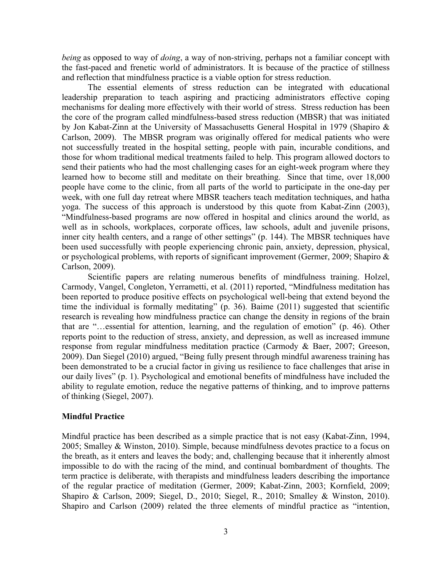*being* as opposed to way of *doing*, a way of non-striving, perhaps not a familiar concept with the fast-paced and frenetic world of administrators. It is because of the practice of stillness and reflection that mindfulness practice is a viable option for stress reduction.

The essential elements of stress reduction can be integrated with educational leadership preparation to teach aspiring and practicing administrators effective coping mechanisms for dealing more effectively with their world of stress. Stress reduction has been the core of the program called mindfulness-based stress reduction (MBSR) that was initiated by Jon Kabat-Zinn at the University of Massachusetts General Hospital in 1979 (Shapiro & Carlson, 2009). The MBSR program was originally offered for medical patients who were not successfully treated in the hospital setting, people with pain, incurable conditions, and those for whom traditional medical treatments failed to help. This program allowed doctors to send their patients who had the most challenging cases for an eight-week program where they learned how to become still and meditate on their breathing. Since that time, over 18,000 people have come to the clinic, from all parts of the world to participate in the one-day per week, with one full day retreat where MBSR teachers teach meditation techniques, and hatha yoga. The success of this approach is understood by this quote from Kabat-Zinn (2003), "Mindfulness-based programs are now offered in hospital and clinics around the world, as well as in schools, workplaces, corporate offices, law schools, adult and juvenile prisons, inner city health centers, and a range of other settings" (p. 144). The MBSR techniques have been used successfully with people experiencing chronic pain, anxiety, depression, physical, or psychological problems, with reports of significant improvement (Germer, 2009; Shapiro & Carlson, 2009).

Scientific papers are relating numerous benefits of mindfulness training. Holzel, Carmody, Vangel, Congleton, Yerrametti, et al. (2011) reported, "Mindfulness meditation has been reported to produce positive effects on psychological well-being that extend beyond the time the individual is formally meditating"  $(p. 36)$ . Baime  $(2011)$  suggested that scientific research is revealing how mindfulness practice can change the density in regions of the brain that are "…essential for attention, learning, and the regulation of emotion" (p. 46). Other reports point to the reduction of stress, anxiety, and depression, as well as increased immune response from regular mindfulness meditation practice (Carmody & Baer, 2007; Greeson, 2009). Dan Siegel (2010) argued, "Being fully present through mindful awareness training has been demonstrated to be a crucial factor in giving us resilience to face challenges that arise in our daily lives" (p. 1). Psychological and emotional benefits of mindfulness have included the ability to regulate emotion, reduce the negative patterns of thinking, and to improve patterns of thinking (Siegel, 2007).

# **Mindful Practice**

Mindful practice has been described as a simple practice that is not easy (Kabat-Zinn, 1994, 2005; Smalley & Winston, 2010). Simple, because mindfulness devotes practice to a focus on the breath, as it enters and leaves the body; and, challenging because that it inherently almost impossible to do with the racing of the mind, and continual bombardment of thoughts. The term practice is deliberate, with therapists and mindfulness leaders describing the importance of the regular practice of meditation (Germer, 2009; Kabat-Zinn, 2003; Kornfield, 2009; Shapiro & Carlson, 2009; Siegel, D., 2010; Siegel, R., 2010; Smalley & Winston, 2010). Shapiro and Carlson (2009) related the three elements of mindful practice as "intention,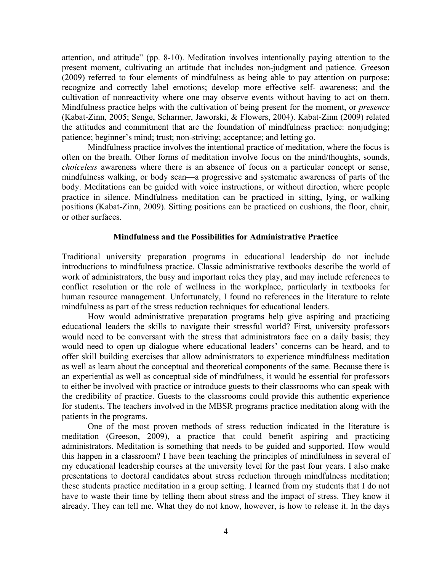attention, and attitude" (pp. 8-10). Meditation involves intentionally paying attention to the present moment, cultivating an attitude that includes non-judgment and patience. Greeson (2009) referred to four elements of mindfulness as being able to pay attention on purpose; recognize and correctly label emotions; develop more effective self- awareness; and the cultivation of nonreactivity where one may observe events without having to act on them. Mindfulness practice helps with the cultivation of being present for the moment, or *presence* (Kabat-Zinn, 2005; Senge, Scharmer, Jaworski, & Flowers, 2004). Kabat-Zinn (2009) related the attitudes and commitment that are the foundation of mindfulness practice: nonjudging; patience; beginner's mind; trust; non-striving; acceptance; and letting go.

Mindfulness practice involves the intentional practice of meditation, where the focus is often on the breath. Other forms of meditation involve focus on the mind/thoughts, sounds, *choiceless* awareness where there is an absence of focus on a particular concept or sense, mindfulness walking, or body scan—a progressive and systematic awareness of parts of the body. Meditations can be guided with voice instructions, or without direction, where people practice in silence. Mindfulness meditation can be practiced in sitting, lying, or walking positions (Kabat-Zinn, 2009). Sitting positions can be practiced on cushions, the floor, chair, or other surfaces.

#### **Mindfulness and the Possibilities for Administrative Practice**

Traditional university preparation programs in educational leadership do not include introductions to mindfulness practice. Classic administrative textbooks describe the world of work of administrators, the busy and important roles they play, and may include references to conflict resolution or the role of wellness in the workplace, particularly in textbooks for human resource management. Unfortunately, I found no references in the literature to relate mindfulness as part of the stress reduction techniques for educational leaders.

How would administrative preparation programs help give aspiring and practicing educational leaders the skills to navigate their stressful world? First, university professors would need to be conversant with the stress that administrators face on a daily basis; they would need to open up dialogue where educational leaders' concerns can be heard, and to offer skill building exercises that allow administrators to experience mindfulness meditation as well as learn about the conceptual and theoretical components of the same. Because there is an experiential as well as conceptual side of mindfulness, it would be essential for professors to either be involved with practice or introduce guests to their classrooms who can speak with the credibility of practice. Guests to the classrooms could provide this authentic experience for students. The teachers involved in the MBSR programs practice meditation along with the patients in the programs.

One of the most proven methods of stress reduction indicated in the literature is meditation (Greeson, 2009), a practice that could benefit aspiring and practicing administrators. Meditation is something that needs to be guided and supported. How would this happen in a classroom? I have been teaching the principles of mindfulness in several of my educational leadership courses at the university level for the past four years. I also make presentations to doctoral candidates about stress reduction through mindfulness meditation; these students practice meditation in a group setting. I learned from my students that I do not have to waste their time by telling them about stress and the impact of stress. They know it already. They can tell me. What they do not know, however, is how to release it. In the days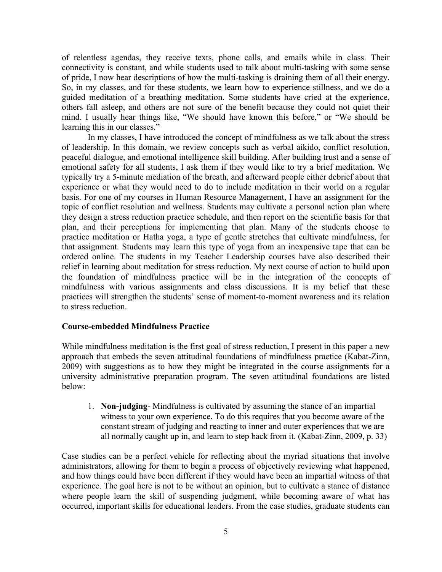of relentless agendas, they receive texts, phone calls, and emails while in class. Their connectivity is constant, and while students used to talk about multi-tasking with some sense of pride, I now hear descriptions of how the multi-tasking is draining them of all their energy. So, in my classes, and for these students, we learn how to experience stillness, and we do a guided meditation of a breathing meditation. Some students have cried at the experience, others fall asleep, and others are not sure of the benefit because they could not quiet their mind. I usually hear things like, "We should have known this before," or "We should be learning this in our classes."

In my classes, I have introduced the concept of mindfulness as we talk about the stress of leadership. In this domain, we review concepts such as verbal aikido, conflict resolution, peaceful dialogue, and emotional intelligence skill building. After building trust and a sense of emotional safety for all students, I ask them if they would like to try a brief meditation. We typically try a 5-minute mediation of the breath, and afterward people either debrief about that experience or what they would need to do to include meditation in their world on a regular basis. For one of my courses in Human Resource Management, I have an assignment for the topic of conflict resolution and wellness. Students may cultivate a personal action plan where they design a stress reduction practice schedule, and then report on the scientific basis for that plan, and their perceptions for implementing that plan. Many of the students choose to practice meditation or Hatha yoga, a type of gentle stretches that cultivate mindfulness, for that assignment. Students may learn this type of yoga from an inexpensive tape that can be ordered online. The students in my Teacher Leadership courses have also described their relief in learning about meditation for stress reduction. My next course of action to build upon the foundation of mindfulness practice will be in the integration of the concepts of mindfulness with various assignments and class discussions. It is my belief that these practices will strengthen the students' sense of moment-to-moment awareness and its relation to stress reduction.

#### **Course-embedded Mindfulness Practice**

While mindfulness meditation is the first goal of stress reduction, I present in this paper a new approach that embeds the seven attitudinal foundations of mindfulness practice (Kabat-Zinn, 2009) with suggestions as to how they might be integrated in the course assignments for a university administrative preparation program. The seven attitudinal foundations are listed below:

1. **Non-judging**- Mindfulness is cultivated by assuming the stance of an impartial witness to your own experience. To do this requires that you become aware of the constant stream of judging and reacting to inner and outer experiences that we are all normally caught up in, and learn to step back from it. (Kabat-Zinn, 2009, p. 33)

Case studies can be a perfect vehicle for reflecting about the myriad situations that involve administrators, allowing for them to begin a process of objectively reviewing what happened, and how things could have been different if they would have been an impartial witness of that experience. The goal here is not to be without an opinion, but to cultivate a stance of distance where people learn the skill of suspending judgment, while becoming aware of what has occurred, important skills for educational leaders. From the case studies, graduate students can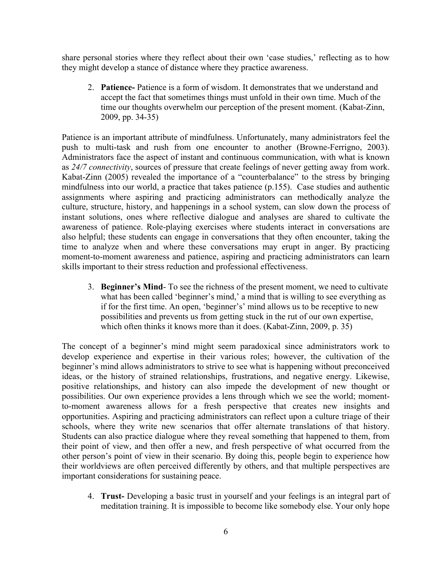share personal stories where they reflect about their own 'case studies,' reflecting as to how they might develop a stance of distance where they practice awareness.

2. **Patience-** Patience is a form of wisdom. It demonstrates that we understand and accept the fact that sometimes things must unfold in their own time. Much of the time our thoughts overwhelm our perception of the present moment. (Kabat-Zinn, 2009, pp. 34-35)

Patience is an important attribute of mindfulness. Unfortunately, many administrators feel the push to multi-task and rush from one encounter to another (Browne-Ferrigno, 2003). Administrators face the aspect of instant and continuous communication, with what is known as *24/7 connectivity*, sources of pressure that create feelings of never getting away from work. Kabat-Zinn (2005) revealed the importance of a "counterbalance" to the stress by bringing mindfulness into our world, a practice that takes patience (p.155). Case studies and authentic assignments where aspiring and practicing administrators can methodically analyze the culture, structure, history, and happenings in a school system, can slow down the process of instant solutions, ones where reflective dialogue and analyses are shared to cultivate the awareness of patience. Role-playing exercises where students interact in conversations are also helpful; these students can engage in conversations that they often encounter, taking the time to analyze when and where these conversations may erupt in anger. By practicing moment-to-moment awareness and patience, aspiring and practicing administrators can learn skills important to their stress reduction and professional effectiveness.

3. **Beginner's Mind**- To see the richness of the present moment, we need to cultivate what has been called 'beginner's mind,' a mind that is willing to see everything as if for the first time. An open, 'beginner's' mind allows us to be receptive to new possibilities and prevents us from getting stuck in the rut of our own expertise, which often thinks it knows more than it does. (Kabat-Zinn, 2009, p. 35)

The concept of a beginner's mind might seem paradoxical since administrators work to develop experience and expertise in their various roles; however, the cultivation of the beginner's mind allows administrators to strive to see what is happening without preconceived ideas, or the history of strained relationships, frustrations, and negative energy. Likewise, positive relationships, and history can also impede the development of new thought or possibilities. Our own experience provides a lens through which we see the world; momentto-moment awareness allows for a fresh perspective that creates new insights and opportunities. Aspiring and practicing administrators can reflect upon a culture triage of their schools, where they write new scenarios that offer alternate translations of that history. Students can also practice dialogue where they reveal something that happened to them, from their point of view, and then offer a new, and fresh perspective of what occurred from the other person's point of view in their scenario. By doing this, people begin to experience how their worldviews are often perceived differently by others, and that multiple perspectives are important considerations for sustaining peace.

4. **Trust-** Developing a basic trust in yourself and your feelings is an integral part of meditation training. It is impossible to become like somebody else. Your only hope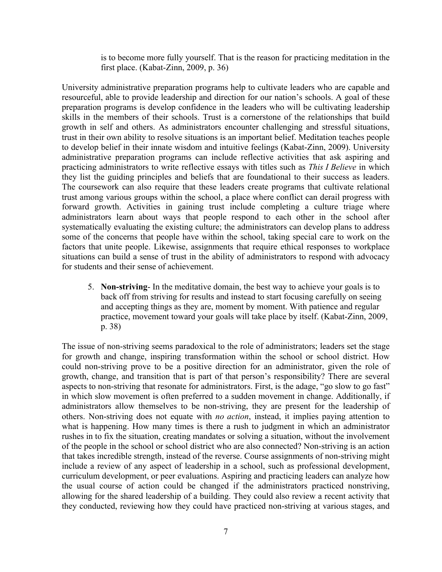is to become more fully yourself. That is the reason for practicing meditation in the first place. (Kabat-Zinn, 2009, p. 36)

University administrative preparation programs help to cultivate leaders who are capable and resourceful, able to provide leadership and direction for our nation's schools. A goal of these preparation programs is develop confidence in the leaders who will be cultivating leadership skills in the members of their schools. Trust is a cornerstone of the relationships that build growth in self and others. As administrators encounter challenging and stressful situations, trust in their own ability to resolve situations is an important belief. Meditation teaches people to develop belief in their innate wisdom and intuitive feelings (Kabat-Zinn, 2009). University administrative preparation programs can include reflective activities that ask aspiring and practicing administrators to write reflective essays with titles such as *This I Believe* in which they list the guiding principles and beliefs that are foundational to their success as leaders. The coursework can also require that these leaders create programs that cultivate relational trust among various groups within the school, a place where conflict can derail progress with forward growth. Activities in gaining trust include completing a culture triage where administrators learn about ways that people respond to each other in the school after systematically evaluating the existing culture; the administrators can develop plans to address some of the concerns that people have within the school, taking special care to work on the factors that unite people. Likewise, assignments that require ethical responses to workplace situations can build a sense of trust in the ability of administrators to respond with advocacy for students and their sense of achievement.

5. **Non-striving**- In the meditative domain, the best way to achieve your goals is to back off from striving for results and instead to start focusing carefully on seeing and accepting things as they are, moment by moment. With patience and regular practice, movement toward your goals will take place by itself. (Kabat-Zinn, 2009, p. 38)

The issue of non-striving seems paradoxical to the role of administrators; leaders set the stage for growth and change, inspiring transformation within the school or school district. How could non-striving prove to be a positive direction for an administrator, given the role of growth, change, and transition that is part of that person's responsibility? There are several aspects to non-striving that resonate for administrators. First, is the adage, "go slow to go fast" in which slow movement is often preferred to a sudden movement in change. Additionally, if administrators allow themselves to be non-striving, they are present for the leadership of others. Non-striving does not equate with *no action*, instead, it implies paying attention to what is happening. How many times is there a rush to judgment in which an administrator rushes in to fix the situation, creating mandates or solving a situation, without the involvement of the people in the school or school district who are also connected? Non-striving is an action that takes incredible strength, instead of the reverse. Course assignments of non-striving might include a review of any aspect of leadership in a school, such as professional development, curriculum development, or peer evaluations. Aspiring and practicing leaders can analyze how the usual course of action could be changed if the administrators practiced nonstriving, allowing for the shared leadership of a building. They could also review a recent activity that they conducted, reviewing how they could have practiced non-striving at various stages, and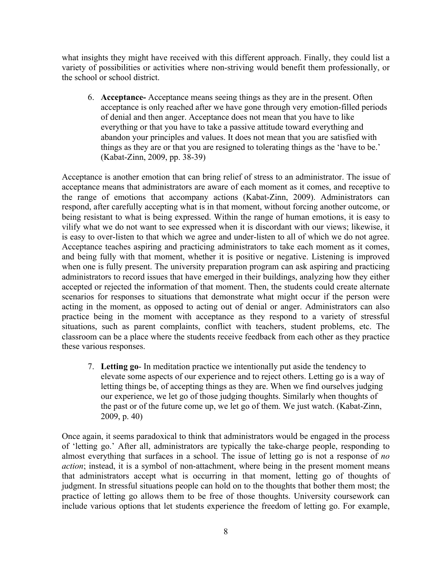what insights they might have received with this different approach. Finally, they could list a variety of possibilities or activities where non-striving would benefit them professionally, or the school or school district.

6. **Acceptance-** Acceptance means seeing things as they are in the present. Often acceptance is only reached after we have gone through very emotion-filled periods of denial and then anger. Acceptance does not mean that you have to like everything or that you have to take a passive attitude toward everything and abandon your principles and values. It does not mean that you are satisfied with things as they are or that you are resigned to tolerating things as the 'have to be.' (Kabat-Zinn, 2009, pp. 38-39)

Acceptance is another emotion that can bring relief of stress to an administrator. The issue of acceptance means that administrators are aware of each moment as it comes, and receptive to the range of emotions that accompany actions (Kabat-Zinn, 2009). Administrators can respond, after carefully accepting what is in that moment, without forcing another outcome, or being resistant to what is being expressed. Within the range of human emotions, it is easy to vilify what we do not want to see expressed when it is discordant with our views; likewise, it is easy to over-listen to that which we agree and under-listen to all of which we do not agree. Acceptance teaches aspiring and practicing administrators to take each moment as it comes, and being fully with that moment, whether it is positive or negative. Listening is improved when one is fully present. The university preparation program can ask aspiring and practicing administrators to record issues that have emerged in their buildings, analyzing how they either accepted or rejected the information of that moment. Then, the students could create alternate scenarios for responses to situations that demonstrate what might occur if the person were acting in the moment, as opposed to acting out of denial or anger. Administrators can also practice being in the moment with acceptance as they respond to a variety of stressful situations, such as parent complaints, conflict with teachers, student problems, etc. The classroom can be a place where the students receive feedback from each other as they practice these various responses.

7. **Letting go**- In meditation practice we intentionally put aside the tendency to elevate some aspects of our experience and to reject others. Letting go is a way of letting things be, of accepting things as they are. When we find ourselves judging our experience, we let go of those judging thoughts. Similarly when thoughts of the past or of the future come up, we let go of them. We just watch. (Kabat-Zinn, 2009, p. 40)

Once again, it seems paradoxical to think that administrators would be engaged in the process of 'letting go.' After all, administrators are typically the take-charge people, responding to almost everything that surfaces in a school. The issue of letting go is not a response of *no action*; instead, it is a symbol of non-attachment, where being in the present moment means that administrators accept what is occurring in that moment, letting go of thoughts of judgment. In stressful situations people can hold on to the thoughts that bother them most; the practice of letting go allows them to be free of those thoughts. University coursework can include various options that let students experience the freedom of letting go. For example,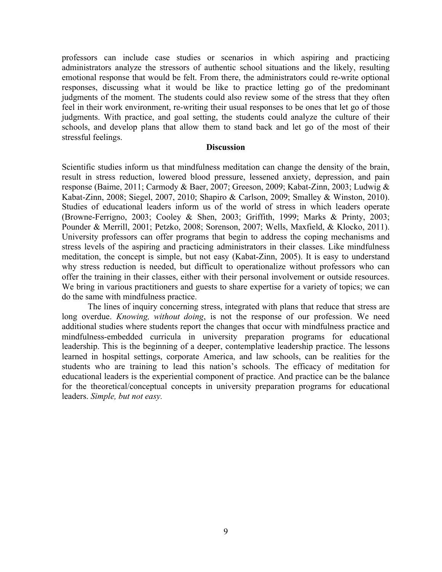professors can include case studies or scenarios in which aspiring and practicing administrators analyze the stressors of authentic school situations and the likely, resulting emotional response that would be felt. From there, the administrators could re-write optional responses, discussing what it would be like to practice letting go of the predominant judgments of the moment. The students could also review some of the stress that they often feel in their work environment, re-writing their usual responses to be ones that let go of those judgments. With practice, and goal setting, the students could analyze the culture of their schools, and develop plans that allow them to stand back and let go of the most of their stressful feelings.

### **Discussion**

Scientific studies inform us that mindfulness meditation can change the density of the brain, result in stress reduction, lowered blood pressure, lessened anxiety, depression, and pain response (Baime, 2011; Carmody & Baer, 2007; Greeson, 2009; Kabat-Zinn, 2003; Ludwig & Kabat-Zinn, 2008; Siegel, 2007, 2010; Shapiro & Carlson, 2009; Smalley & Winston, 2010). Studies of educational leaders inform us of the world of stress in which leaders operate (Browne-Ferrigno, 2003; Cooley & Shen, 2003; Griffith, 1999; Marks & Printy, 2003; Pounder & Merrill, 2001; Petzko, 2008; Sorenson, 2007; Wells, Maxfield, & Klocko, 2011). University professors can offer programs that begin to address the coping mechanisms and stress levels of the aspiring and practicing administrators in their classes. Like mindfulness meditation, the concept is simple, but not easy (Kabat-Zinn, 2005). It is easy to understand why stress reduction is needed, but difficult to operationalize without professors who can offer the training in their classes, either with their personal involvement or outside resources. We bring in various practitioners and guests to share expertise for a variety of topics; we can do the same with mindfulness practice.

The lines of inquiry concerning stress, integrated with plans that reduce that stress are long overdue. *Knowing, without doing*, is not the response of our profession. We need additional studies where students report the changes that occur with mindfulness practice and mindfulness-embedded curricula in university preparation programs for educational leadership. This is the beginning of a deeper, contemplative leadership practice. The lessons learned in hospital settings, corporate America, and law schools, can be realities for the students who are training to lead this nation's schools. The efficacy of meditation for educational leaders is the experiential component of practice. And practice can be the balance for the theoretical/conceptual concepts in university preparation programs for educational leaders. *Simple, but not easy.*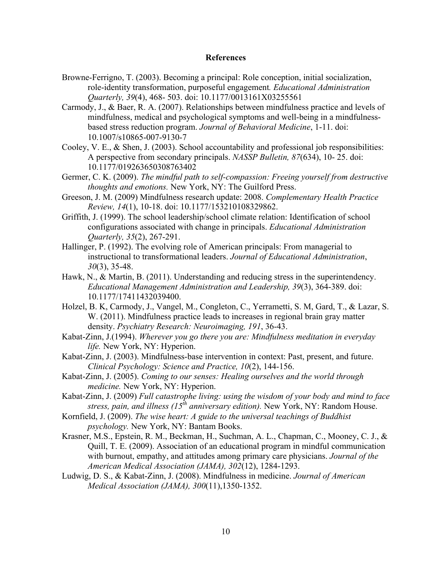# **References**

- Browne-Ferrigno, T. (2003). Becoming a principal: Role conception, initial socialization, role-identity transformation, purposeful engagement*. Educational Administration Quarterly, 39*(4), 468- 503. doi: 10.1177/0013161X03255561
- Carmody, J., & Baer, R. A. (2007). Relationships between mindfulness practice and levels of mindfulness, medical and psychological symptoms and well-being in a mindfulnessbased stress reduction program. *Journal of Behavioral Medicine*, 1-11. doi: 10.1007/s10865-007-9130-7
- Cooley, V. E., & Shen, J. (2003). School accountability and professional job responsibilities: A perspective from secondary principals. *NASSP Bulletin, 87*(634), 10- 25. doi: 10.1177/019263650308763402
- Germer, C. K. (2009). *The mindful path to self-compassion: Freeing yourself from destructive thoughts and emotions.* New York, NY: The Guilford Press.
- Greeson, J. M. (2009) Mindfulness research update: 2008. *Complementary Health Practice Review, 14*(1), 10-18. doi: 10.1177/153210108329862.
- Griffith, J. (1999). The school leadership/school climate relation: Identification of school configurations associated with change in principals. *Educational Administration Quarterly, 35*(2), 267-291.
- Hallinger, P. (1992). The evolving role of American principals: From managerial to instructional to transformational leaders. *Journal of Educational Administration*, *30*(3), 35-48.
- Hawk, N., & Martin, B. (2011). Understanding and reducing stress in the superintendency. *Educational Management Administration and Leadership, 39*(3), 364-389. doi: 10.1177/17411432039400.
- Holzel, B. K, Carmody, J., Vangel, M., Congleton, C., Yerrametti, S. M, Gard, T., & Lazar, S. W. (2011). Mindfulness practice leads to increases in regional brain gray matter density. *Psychiatry Research: Neuroimaging, 191*, 36-43.
- Kabat-Zinn, J.(1994). *Wherever you go there you are: Mindfulness meditation in everyday life.* New York, NY: Hyperion.
- Kabat-Zinn, J. (2003). Mindfulness-base intervention in context: Past, present, and future. *Clinical Psychology: Science and Practice, 10*(2), 144-156.
- Kabat-Zinn, J. (2005). *Coming to our senses: Healing ourselves and the world through medicine.* New York, NY: Hyperion.
- Kabat-Zinn, J. (2009) *Full catastrophe living: using the wisdom of your body and mind to face stress, pain, and illness (15th anniversary edition).* New York, NY: Random House.
- Kornfield, J. (2009). *The wise heart: A guide to the universal teachings of Buddhist psychology.* New York, NY: Bantam Books.
- Krasner, M.S., Epstein, R. M., Beckman, H., Suchman, A. L., Chapman, C., Mooney, C. J., & Quill, T. E. (2009). Association of an educational program in mindful communication with burnout, empathy, and attitudes among primary care physicians. *Journal of the American Medical Association (JAMA), 302*(12), 1284-1293.
- Ludwig, D. S., & Kabat-Zinn, J. (2008). Mindfulness in medicine. *Journal of American Medical Association (JAMA), 300*(11),1350-1352.